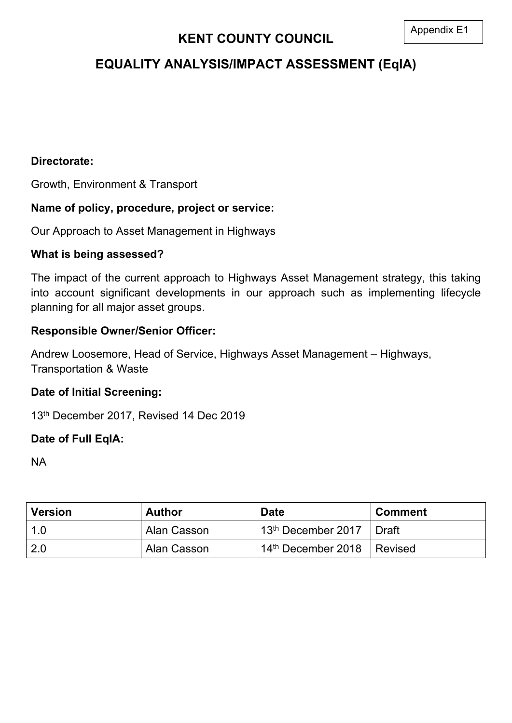# **EQUALITY ANALYSIS/IMPACT ASSESSMENT (EqIA)**

### **Directorate:**

Growth, Environment & Transport

## **Name of policy, procedure, project or service:**

Our Approach to Asset Management in Highways

### **What is being assessed?**

The impact of the current approach to Highways Asset Management strategy, this taking into account significant developments in our approach such as implementing lifecycle planning for all major asset groups.

## **Responsible Owner/Senior Officer:**

Andrew Loosemore, Head of Service, Highways Asset Management – Highways, Transportation & Waste

### **Date of Initial Screening:**

13th December 2017, Revised 14 Dec 2019

## **Date of Full EqIA:**

NA

| <b>Version</b> | <b>Author</b> | <b>Date</b>                    | <b>Comment</b> |
|----------------|---------------|--------------------------------|----------------|
| 1.0            | Alan Casson   | 13 <sup>th</sup> December 2017 | Draft          |
| -2.0           | Alan Casson   | 14 <sup>th</sup> December 2018 | Revised        |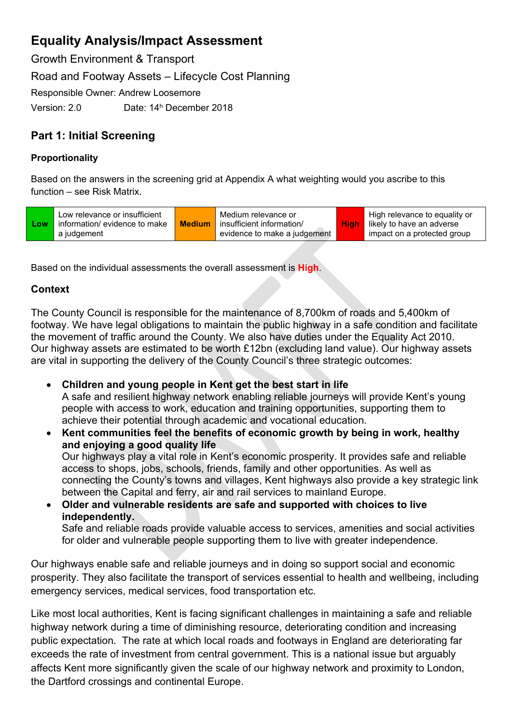Growth Environment & Transport Road and Footway Assets – Lifecycle Cost Planning Responsible Owner: Andrew Loosemore Version: 2.0 Date: 14<sup>h</sup> December 2018

## **Part 1: Initial Screening**

### **Proportionality**

Based on the answers in the screening grid at Appendix A what weighting would you ascribe to this function – see Risk Matrix.

| <b>_OW</b> | Low relevance or insufficient<br>information/ evidence to make<br>a judgement | <b>Medium</b> | Medium relevance or<br>insufficient information/<br>evidence to make a judgement |  | High relevance to equality or<br><b>High</b> likely to have an adverse<br>impact on a protected group |
|------------|-------------------------------------------------------------------------------|---------------|----------------------------------------------------------------------------------|--|-------------------------------------------------------------------------------------------------------|
|------------|-------------------------------------------------------------------------------|---------------|----------------------------------------------------------------------------------|--|-------------------------------------------------------------------------------------------------------|

Based on the individual assessments the overall assessment is **High**.

### **Context**

The County Council is responsible for the maintenance of 8,700km of roads and 5,400km of footway. We have legal obligations to maintain the public highway in a safe condition and facilitate the movement of traffic around the County. We also have duties under the Equality Act 2010. Our highway assets are estimated to be worth £12bn (excluding land value). Our highway assets are vital in supporting the delivery of the County Council's three strategic outcomes:

- **Children and young people in Kent get the best start in life** A safe and resilient highway network enabling reliable journeys will provide Kent's young people with access to work, education and training opportunities, supporting them to achieve their potential through academic and vocational education.
- **Kent communities feel the benefits of economic growth by being in work, healthy and enjoying a good quality life** Our highways play a vital role in Kent's economic prosperity. It provides safe and reliable access to shops, jobs, schools, friends, family and other opportunities. As well as connecting the County's towns and villages, Kent highways also provide a key strategic link between the Capital and ferry, air and rail services to mainland Europe.
- **Older and vulnerable residents are safe and supported with choices to live independently.** Safe and reliable roads provide valuable access to services, amenities and social activities for older and vulnerable people supporting them to live with greater independence.

Our highways enable safe and reliable journeys and in doing so support social and economic prosperity. They also facilitate the transport of services essential to health and wellbeing, including emergency services, medical services, food transportation etc.

Like most local authorities, Kent is facing significant challenges in maintaining a safe and reliable highway network during a time of diminishing resource, deteriorating condition and increasing public expectation. The rate at which local roads and footways in England are deteriorating far exceeds the rate of investment from central government. This is a national issue but arguably affects Kent more significantly given the scale of our highway network and proximity to London, the Dartford crossings and continental Europe.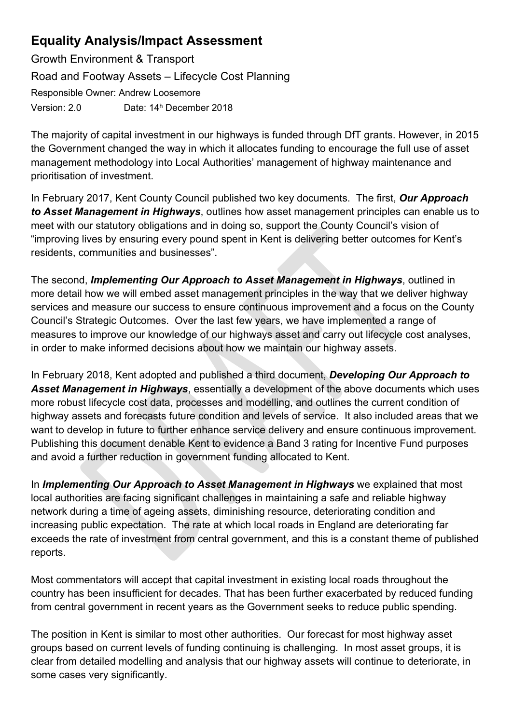Growth Environment & Transport Road and Footway Assets – Lifecycle Cost Planning Responsible Owner: Andrew Loosemore Version: 2.0 Date: 14<sup>h</sup> December 2018

The majority of capital investment in our highways is funded through DfT grants. However, in 2015 the Government changed the way in which it allocates funding to encourage the full use of asset management methodology into Local Authorities' management of highway maintenance and prioritisation of investment.

In February 2017, Kent County Council published two key documents. The first, *Our Approach to Asset Management in Highways*, outlines how asset management principles can enable us to meet with our statutory obligations and in doing so, support the County Council's vision of "improving lives by ensuring every pound spent in Kent is delivering better outcomes for Kent's residents, communities and businesses".

The second, *Implementing Our Approach to Asset Management in Highways*, outlined in more detail how we will embed asset management principles in the way that we deliver highway services and measure our success to ensure continuous improvement and a focus on the County Council's Strategic Outcomes. Over the last few years, we have implemented a range of measures to improve our knowledge of our highways asset and carry out lifecycle cost analyses, in order to make informed decisions about how we maintain our highway assets.

In February 2018, Kent adopted and published a third document, *Developing Our Approach to Asset Management in Highways*, essentially a development of the above documents which uses more robust lifecycle cost data, processes and modelling, and outlines the current condition of highway assets and forecasts future condition and levels of service. It also included areas that we want to develop in future to further enhance service delivery and ensure continuous improvement. Publishing this document denable Kent to evidence a Band 3 rating for Incentive Fund purposes and avoid a further reduction in government funding allocated to Kent.

In *Implementing Our Approach to Asset Management in Highways* we explained that most local authorities are facing significant challenges in maintaining a safe and reliable highway network during a time of ageing assets, diminishing resource, deteriorating condition and increasing public expectation. The rate at which local roads in England are deteriorating far exceeds the rate of investment from central government, and this is a constant theme of published reports.

Most commentators will accept that capital investment in existing local roads throughout the country has been insufficient for decades. That has been further exacerbated by reduced funding from central government in recent years as the Government seeks to reduce public spending.

The position in Kent is similar to most other authorities. Our forecast for most highway asset groups based on current levels of funding continuing is challenging. In most asset groups, it is clear from detailed modelling and analysis that our highway assets will continue to deteriorate, in some cases very significantly.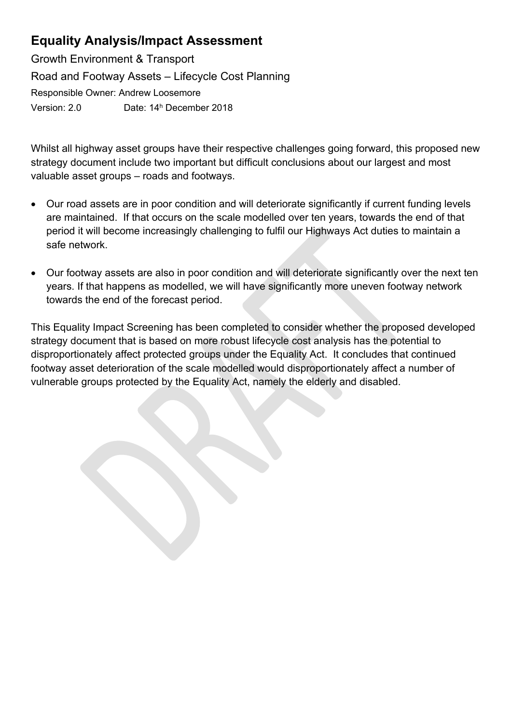Growth Environment & Transport Road and Footway Assets – Lifecycle Cost Planning Responsible Owner: Andrew Loosemore Version: 2.0 Date: 14<sup>h</sup> December 2018

Whilst all highway asset groups have their respective challenges going forward, this proposed new strategy document include two important but difficult conclusions about our largest and most valuable asset groups – roads and footways.

- Our road assets are in poor condition and will deteriorate significantly if current funding levels are maintained. If that occurs on the scale modelled over ten years, towards the end of that period it will become increasingly challenging to fulfil our Highways Act duties to maintain a safe network.
- Our footway assets are also in poor condition and will deteriorate significantly over the next ten years. If that happens as modelled, we will have significantly more uneven footway network towards the end of the forecast period.

This Equality Impact Screening has been completed to consider whether the proposed developed strategy document that is based on more robust lifecycle cost analysis has the potential to disproportionately affect protected groups under the Equality Act. It concludes that continued footway asset deterioration of the scale modelled would disproportionately affect a number of vulnerable groups protected by the Equality Act, namely the elderly and disabled.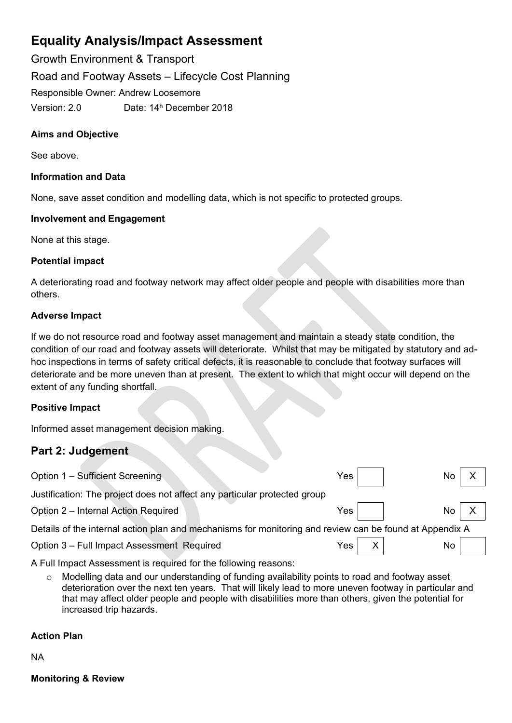Growth Environment & Transport Road and Footway Assets – Lifecycle Cost Planning Responsible Owner: Andrew Loosemore Version: 2.0 Date: 14<sup>h</sup> December 2018

#### **Aims and Objective**

See above.

#### **Information and Data**

None, save asset condition and modelling data, which is not specific to protected groups.

#### **Involvement and Engagement**

None at this stage.

#### **Potential impact**

A deteriorating road and footway network may affect older people and people with disabilities more than others.

#### **Adverse Impact**

If we do not resource road and footway asset management and maintain a steady state condition, the condition of our road and footway assets will deteriorate. Whilst that may be mitigated by statutory and adhoc inspections in terms of safety critical defects, it is reasonable to conclude that footway surfaces will deteriorate and be more uneven than at present. The extent to which that might occur will depend on the extent of any funding shortfall.

#### **Positive Impact**

Informed asset management decision making.

### **Part 2: Judgement**

| Option 1 - Sufficient Screening                                                                         | Yes.  |  | No              |  |  |  |  |
|---------------------------------------------------------------------------------------------------------|-------|--|-----------------|--|--|--|--|
| Justification: The project does not affect any particular protected group                               |       |  |                 |  |  |  |  |
| Option 2 – Internal Action Required                                                                     | Yes l |  | No <sub>1</sub> |  |  |  |  |
| Details of the internal action plan and mechanisms for monitoring and review can be found at Appendix A |       |  |                 |  |  |  |  |
| Option 3 - Full Impact Assessment Required                                                              | Yes.  |  | No              |  |  |  |  |

A Full Impact Assessment is required for the following reasons:

o Modelling data and our understanding of funding availability points to road and footway asset deterioration over the next ten years. That will likely lead to more uneven footway in particular and that may affect older people and people with disabilities more than others, given the potential for increased trip hazards.

#### **Action Plan**

NA

**Monitoring & Review**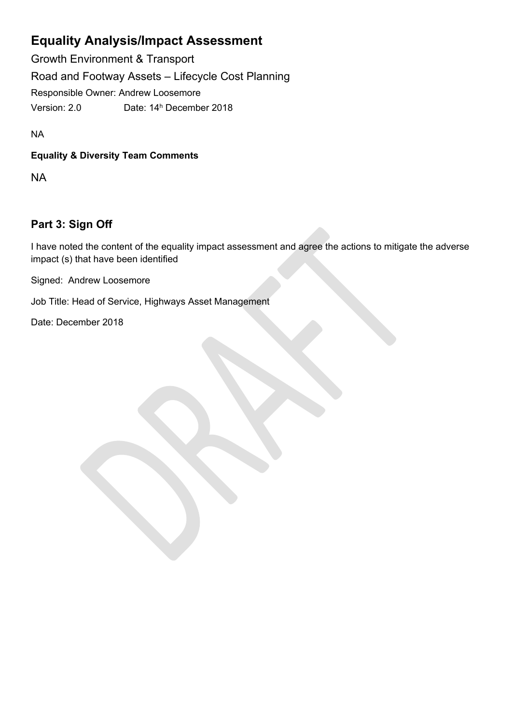Growth Environment & Transport Road and Footway Assets – Lifecycle Cost Planning Responsible Owner: Andrew Loosemore Version: 2.0 Date: 14<sup>h</sup> December 2018

NA

### **Equality & Diversity Team Comments**

NA

## **Part 3: Sign Off**

I have noted the content of the equality impact assessment and agree the actions to mitigate the adverse impact (s) that have been identified

Signed: Andrew Loosemore

Job Title: Head of Service, Highways Asset Management

Date: December 2018